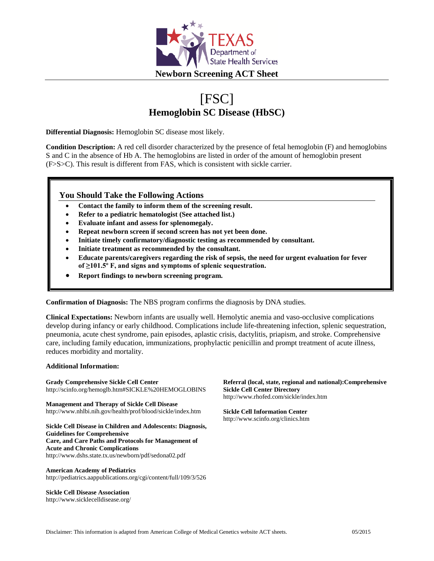

# [FSC] **Hemoglobin SC Disease (HbSC)**

**Differential Diagnosis:** Hemoglobin SC disease most likely.

**Condition Description:** A red cell disorder characterized by the presence of fetal hemoglobin (F) and hemoglobins S and C in the absence of Hb A. The hemoglobins are listed in order of the amount of hemoglobin present (F>S>C). This result is different from FAS, which is consistent with sickle carrier.

## **You Should Take the Following Actions**

- **Contact the family to inform them of the screening result.**
- **Refer to a pediatric hematologist (See attached list.)**
- **Evaluate infant and assess for splenomegaly.**
- **Repeat newborn screen if second screen has not yet been done.**
- **Initiate timely confirmatory/diagnostic testing as recommended by consultant.**
- **Initiate treatment as recommended by the consultant.**
- **Educate parents/caregivers regarding the risk of sepsis, the need for urgent evaluation for fever of ≥101.5º F, and signs and symptoms of splenic sequestration.**
- **Report findings to newborn screening program.**

**Confirmation of Diagnosis:** The NBS program confirms the diagnosis by DNA studies.

**Clinical Expectations:** Newborn infants are usually well. Hemolytic anemia and vaso-occlusive complications develop during infancy or early childhood. Complications include life-threatening infection, splenic sequestration, pneumonia, acute chest syndrome, pain episodes, aplastic crisis, dactylitis, priapism, and stroke. Comprehensive care, including family education, immunizations, prophylactic penicillin and prompt treatment of acute illness, reduces morbidity and mortality.

#### **Additional Information:**

**Grady Comprehensive Sickle Cell Center** http://scinfo.org/hemoglb.htm#SICKLE%20HEMOGLOBINS

**Management and Therapy of Sickle Cell Disease** http://www.nhlbi.nih.gov/health/prof/blood/sickle/index.htm

**Sickle Cell Disease in Children and Adolescents: Diagnosis, Guidelines for Comprehensive Care, and Care Paths and Protocols for Management of Acute and Chronic Complications** http://www.dshs.state.tx.us/newborn/pdf/sedona02.pdf

**American Academy of Pediatrics** http://pediatrics.aappublications.org/cgi/content/full/109/3/526

**Sickle Cell Disease Association** http://www.sicklecelldisease.org/ **Referral (local, state, regional and national):Comprehensive Sickle Cell Center Directory** http://www.rhofed.com/sickle/index.htm

**Sickle Cell Information Center** http://www.scinfo.org/clinics.htm